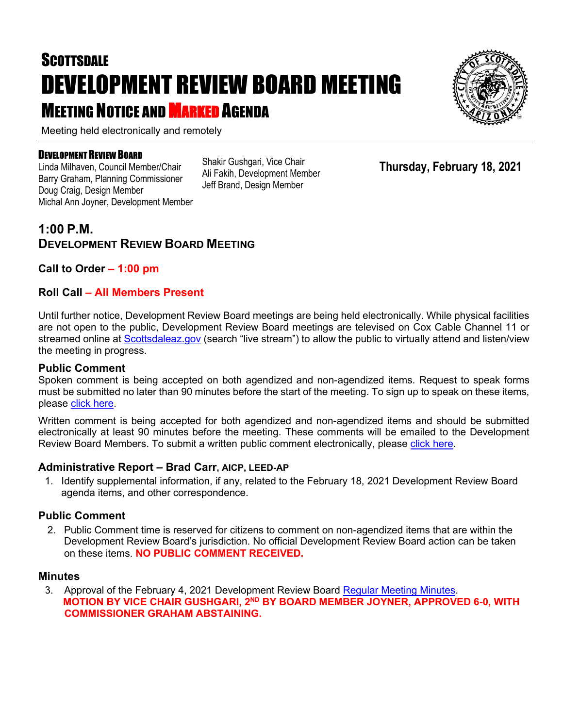# **SCOTTSDALE** DEVELOPMENT REVIEW BOARD MEETING **MEETING NOTICE AND MARKED AGENDA**

Meeting held electronically and remotely

#### DEVELOPMENT REVIEW BOARD

Linda Milhaven, Council Member/Chair Barry Graham, Planning Commissioner Doug Craig, Design Member Michal Ann Joyner, Development Member Shakir Gushgari, Vice Chair Ali Fakih, Development Member Jeff Brand, Design Member

### **1:00 P.M. DEVELOPMENT REVIEW BOARD MEETING**

**Call to Order – 1:00 pm**

#### **Roll Call – All Members Present**

Until further notice, Development Review Board meetings are being held electronically. While physical facilities are not open to the public, Development Review Board meetings are televised on Cox Cable Channel 11 or streamed online at [Scottsdaleaz.gov](https://www.scottsdaleaz.gov/) (search "live stream") to allow the public to virtually attend and listen/view the meeting in progress.

#### **Public Comment**

Spoken comment is being accepted on both agendized and non-agendized items. Request to speak forms must be submitted no later than 90 minutes before the start of the meeting. To sign up to speak on these items, please [click here.](https://www.scottsdaleaz.gov/boards/development-review-board/spoken-comment)

Written comment is being accepted for both agendized and non-agendized items and should be submitted electronically at least 90 minutes before the meeting. These comments will be emailed to the Development Review Board Members. To submit a written public comment electronically, please [click here.](https://www.scottsdaleaz.gov/boards/development-review-board/public-comment)

#### **Administrative Report – Brad Carr, AICP, LEED-AP**

1. Identify supplemental information, if any, related to the February 18, 2021 Development Review Board agenda items, and other correspondence.

#### **Public Comment**

2. Public Comment time is reserved for citizens to comment on non-agendized items that are within the Development Review Board's jurisdiction. No official Development Review Board action can be taken on these items. **NO PUBLIC COMMENT RECEIVED.**

#### **Minutes**

3. Approval of the February 4, 2021 Development Review Board [Regular Meeting Minutes.](https://eservices.scottsdaleaz.gov/planning/projectsummary/unrelated_documents/DRB_MEETING_MINUTES_02042021.pdf) **MOTION BY VICE CHAIR GUSHGARI, 2ND BY BOARD MEMBER JOYNER, APPROVED 6-0, WITH COMMISSIONER GRAHAM ABSTAINING.**



**Thursday, February 18, 2021**